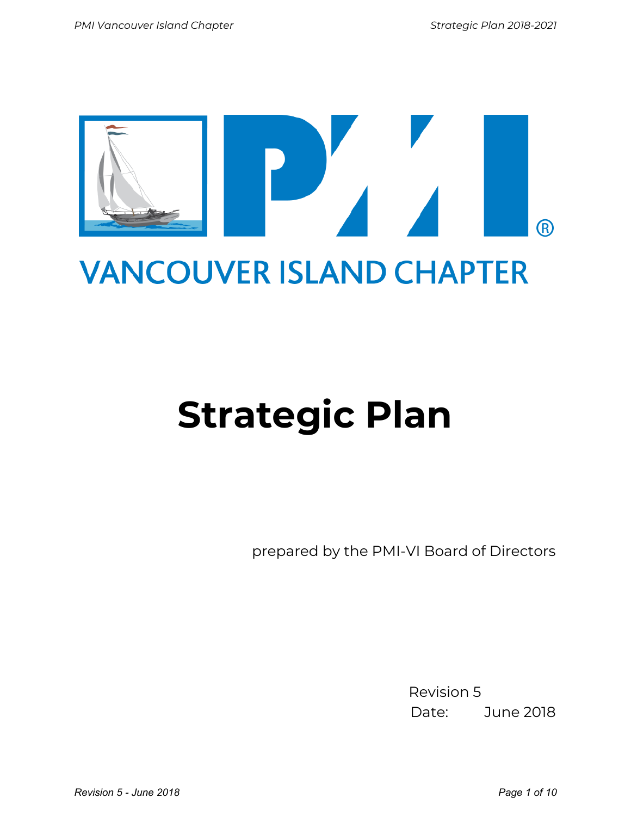

## **VANCOUVER ISLAND CHAPTER**

# **Strategic Plan**

prepared by the PMI-VI Board of Directors

Revision 5 Date: June 2018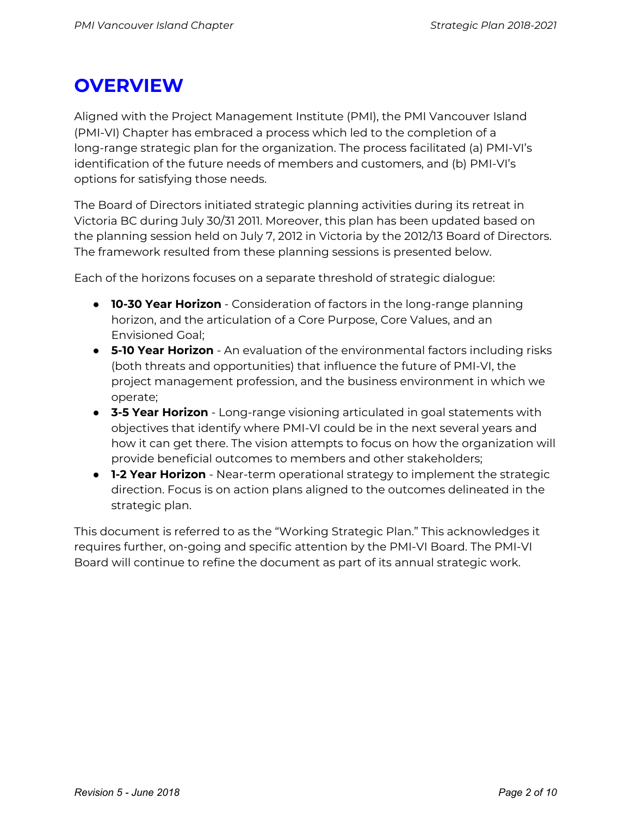### **OVERVIEW**

Aligned with the Project Management Institute (PMI), the PMI Vancouver Island (PMI-VI) Chapter has embraced a process which led to the completion of a long-range strategic plan for the organization. The process facilitated (a) PMI-VI's identification of the future needs of members and customers, and (b) PMI-VI's options for satisfying those needs.

The Board of Directors initiated strategic planning activities during its retreat in Victoria BC during July 30/31 2011. Moreover, this plan has been updated based on the planning session held on July 7, 2012 in Victoria by the 2012/13 Board of Directors. The framework resulted from these planning sessions is presented below.

Each of the horizons focuses on a separate threshold of strategic dialogue:

- **10-30 Year Horizon** Consideration of factors in the long-range planning horizon, and the articulation of a Core Purpose, Core Values, and an Envisioned Goal;
- **5-10 Year Horizon** An evaluation of the environmental factors including risks (both threats and opportunities) that influence the future of PMI-VI, the project management profession, and the business environment in which we operate;
- **3-5 Year Horizon** Long-range visioning articulated in goal statements with objectives that identify where PMI-VI could be in the next several years and how it can get there. The vision attempts to focus on how the organization will provide beneficial outcomes to members and other stakeholders;
- **1-2 Year Horizon** Near-term operational strategy to implement the strategic direction. Focus is on action plans aligned to the outcomes delineated in the strategic plan.

This document is referred to as the "Working Strategic Plan." This acknowledges it requires further, on-going and specific attention by the PMI-VI Board. The PMI-VI Board will continue to refine the document as part of its annual strategic work.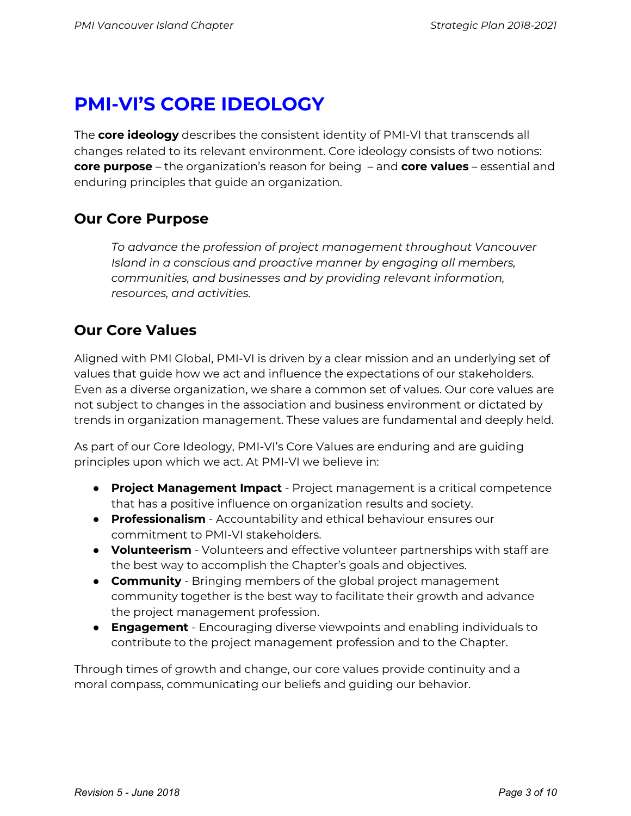## **PMI-VI'S CORE IDEOLOGY**

The **core ideology** describes the consistent identity of PMI-VI that transcends all changes related to its relevant environment. Core ideology consists of two notions: **core purpose** – the organization's reason for being – and **core values** – essential and enduring principles that guide an organization.

#### **Our Core Purpose**

*To advance the profession of project management throughout Vancouver Island in a conscious and proactive manner by engaging all members, communities, and businesses and by providing relevant information, resources, and activities.*

#### **Our Core Values**

Aligned with PMI Global, PMI-VI is driven by a clear mission and an underlying set of values that guide how we act and influence the expectations of our stakeholders. Even as a diverse organization, we share a common set of values. Our core values are not subject to changes in the association and business environment or dictated by trends in organization management. These values are fundamental and deeply held.

As part of our Core Ideology, PMI-VI's Core Values are enduring and are guiding principles upon which we act. At PMI-VI we believe in:

- **Project Management Impact** Project management is a critical competence that has a positive influence on organization results and society.
- **Professionalism** Accountability and ethical behaviour ensures our commitment to PMI-VI stakeholders.
- **Volunteerism** Volunteers and effective volunteer partnerships with staff are the best way to accomplish the Chapter's goals and objectives.
- **Community** Bringing members of the global project management community together is the best way to facilitate their growth and advance the project management profession.
- **Engagement** Encouraging diverse viewpoints and enabling individuals to contribute to the project management profession and to the Chapter.

Through times of growth and change, our core values provide continuity and a moral compass, communicating our beliefs and guiding our behavior.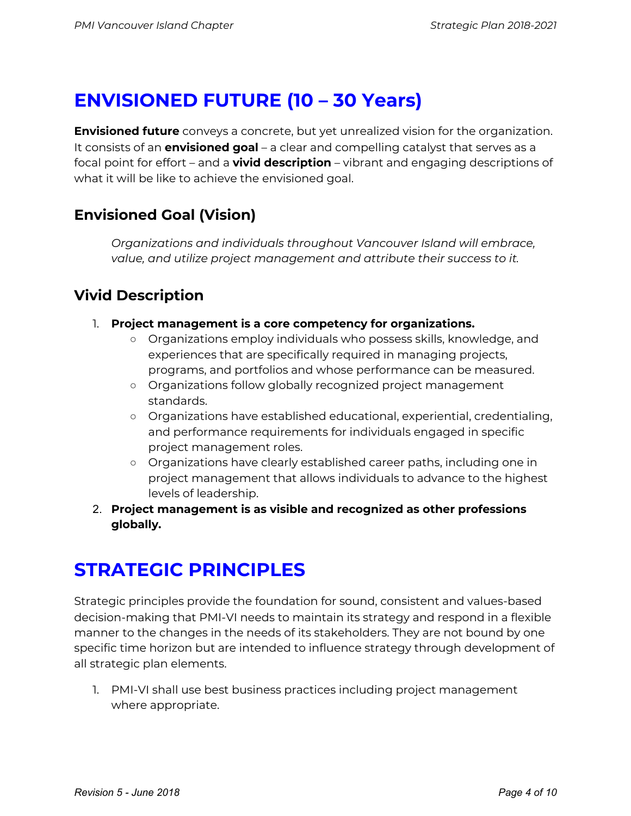## **ENVISIONED FUTURE (10 – 30 Years)**

**Envisioned future** conveys a concrete, but yet unrealized vision for the organization. It consists of an **envisioned goal** – a clear and compelling catalyst that serves as a focal point for effort – and a **vivid description** – vibrant and engaging descriptions of what it will be like to achieve the envisioned goal.

#### **Envisioned Goal (Vision)**

*Organizations and individuals throughout Vancouver Island will embrace, value, and utilize project management and attribute their success to it.*

#### **Vivid Description**

- 1. **Project management is a core competency for organizations.**
	- Organizations employ individuals who possess skills, knowledge, and experiences that are specifically required in managing projects, programs, and portfolios and whose performance can be measured.
	- Organizations follow globally recognized project management standards.
	- Organizations have established educational, experiential, credentialing, and performance requirements for individuals engaged in specific project management roles.
	- Organizations have clearly established career paths, including one in project management that allows individuals to advance to the highest levels of leadership.
- 2. **Project management is as visible and recognized as other professions globally.**

## **STRATEGIC PRINCIPLES**

Strategic principles provide the foundation for sound, consistent and values-based decision-making that PMI-VI needs to maintain its strategy and respond in a flexible manner to the changes in the needs of its stakeholders. They are not bound by one specific time horizon but are intended to influence strategy through development of all strategic plan elements.

1. PMI-VI shall use best business practices including project management where appropriate.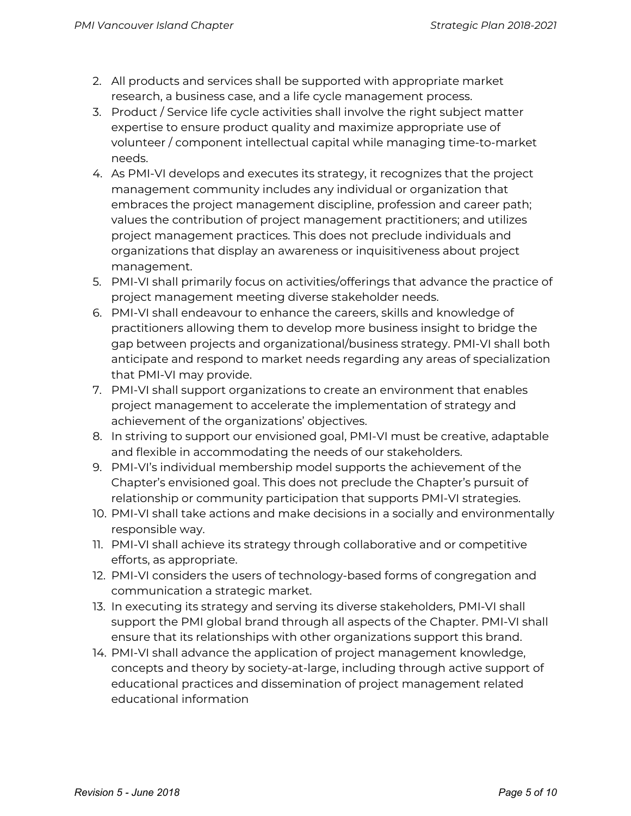- 2. All products and services shall be supported with appropriate market research, a business case, and a life cycle management process.
- 3. Product / Service life cycle activities shall involve the right subject matter expertise to ensure product quality and maximize appropriate use of volunteer / component intellectual capital while managing time-to-market needs.
- 4. As PMI-VI develops and executes its strategy, it recognizes that the project management community includes any individual or organization that embraces the project management discipline, profession and career path; values the contribution of project management practitioners; and utilizes project management practices. This does not preclude individuals and organizations that display an awareness or inquisitiveness about project management.
- 5. PMI-VI shall primarily focus on activities/offerings that advance the practice of project management meeting diverse stakeholder needs.
- 6. PMI-VI shall endeavour to enhance the careers, skills and knowledge of practitioners allowing them to develop more business insight to bridge the gap between projects and organizational/business strategy. PMI-VI shall both anticipate and respond to market needs regarding any areas of specialization that PMI-VI may provide.
- 7. PMI-VI shall support organizations to create an environment that enables project management to accelerate the implementation of strategy and achievement of the organizations' objectives.
- 8. In striving to support our envisioned goal, PMI-VI must be creative, adaptable and flexible in accommodating the needs of our stakeholders.
- 9. PMI-VI's individual membership model supports the achievement of the Chapter's envisioned goal. This does not preclude the Chapter's pursuit of relationship or community participation that supports PMI-VI strategies.
- 10. PMI-VI shall take actions and make decisions in a socially and environmentally responsible way.
- 11. PMI-VI shall achieve its strategy through collaborative and or competitive efforts, as appropriate.
- 12. PMI-VI considers the users of technology-based forms of congregation and communication a strategic market.
- 13. In executing its strategy and serving its diverse stakeholders, PMI-VI shall support the PMI global brand through all aspects of the Chapter. PMI-VI shall ensure that its relationships with other organizations support this brand.
- 14. PMI-VI shall advance the application of project management knowledge, concepts and theory by society-at-large, including through active support of educational practices and dissemination of project management related educational information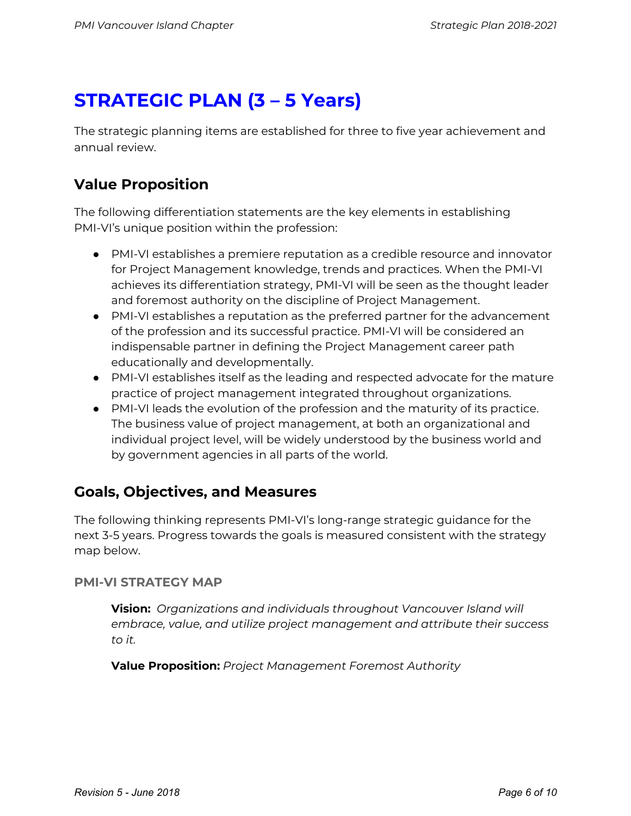## **STRATEGIC PLAN (3 – 5 Years)**

The strategic planning items are established for three to five year achievement and annual review.

#### **Value Proposition**

The following differentiation statements are the key elements in establishing PMI-VI's unique position within the profession:

- PMI-VI establishes a premiere reputation as a credible resource and innovator for Project Management knowledge, trends and practices. When the PMI-VI achieves its differentiation strategy, PMI-VI will be seen as the thought leader and foremost authority on the discipline of Project Management.
- PMI-VI establishes a reputation as the preferred partner for the advancement of the profession and its successful practice. PMI-VI will be considered an indispensable partner in defining the Project Management career path educationally and developmentally.
- PMI-VI establishes itself as the leading and respected advocate for the mature practice of project management integrated throughout organizations.
- PMI-VI leads the evolution of the profession and the maturity of its practice. The business value of project management, at both an organizational and individual project level, will be widely understood by the business world and by government agencies in all parts of the world.

#### **Goals, Objectives, and Measures**

The following thinking represents PMI-VI's long-range strategic guidance for the next 3-5 years. Progress towards the goals is measured consistent with the strategy map below.

#### **PMI-VI STRATEGY MAP**

**Vision:** *Organizations and individuals throughout Vancouver Island will embrace, value, and utilize project management and attribute their success to it.*

**Value Proposition:** *Project Management Foremost Authority*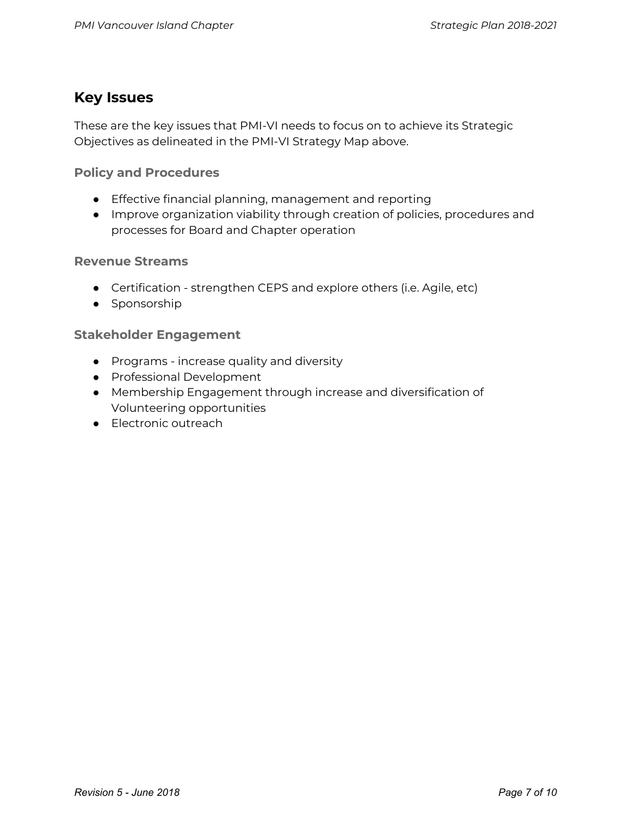#### **Key Issues**

These are the key issues that PMI-VI needs to focus on to achieve its Strategic Objectives as delineated in the PMI-VI Strategy Map above.

**Policy and Procedures**

- Effective financial planning, management and reporting
- Improve organization viability through creation of policies, procedures and processes for Board and Chapter operation

#### **Revenue Streams**

- Certification strengthen CEPS and explore others (i.e. Agile, etc)
- Sponsorship

#### **Stakeholder Engagement**

- Programs increase quality and diversity
- Professional Development
- Membership Engagement through increase and diversification of Volunteering opportunities
- Electronic outreach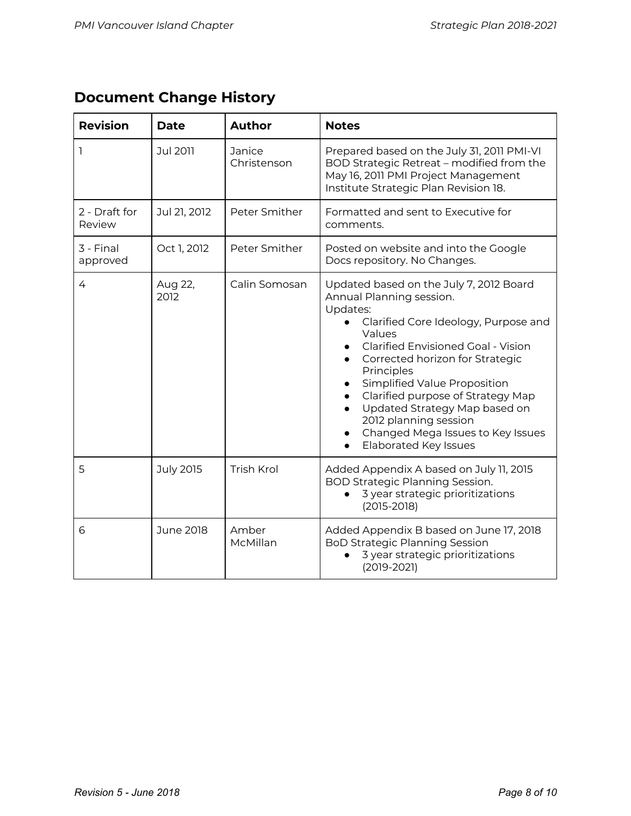| <b>Document Change History</b> |  |  |
|--------------------------------|--|--|
|--------------------------------|--|--|

| <b>Revision</b>         | <b>Date</b>     | <b>Author</b>         | <b>Notes</b>                                                                                                                                                                                                                                                                                                                                                                                                                              |  |
|-------------------------|-----------------|-----------------------|-------------------------------------------------------------------------------------------------------------------------------------------------------------------------------------------------------------------------------------------------------------------------------------------------------------------------------------------------------------------------------------------------------------------------------------------|--|
| 1                       | <b>Jul 2011</b> | Janice<br>Christenson | Prepared based on the July 31, 2011 PMI-VI<br>BOD Strategic Retreat - modified from the<br>May 16, 2011 PMI Project Management<br>Institute Strategic Plan Revision 18.                                                                                                                                                                                                                                                                   |  |
| 2 - Draft for<br>Review | Jul 21, 2012    | Peter Smither         | Formatted and sent to Executive for<br>comments.                                                                                                                                                                                                                                                                                                                                                                                          |  |
| 3 - Final<br>approved   | Oct 1, 2012     | Peter Smither         | Posted on website and into the Google<br>Docs repository. No Changes.                                                                                                                                                                                                                                                                                                                                                                     |  |
| 4                       | Aug 22,<br>2012 | Calin Somosan         | Updated based on the July 7, 2012 Board<br>Annual Planning session.<br>Updates:<br>Clarified Core Ideology, Purpose and<br>$\bullet$<br>Values<br><b>Clarified Envisioned Goal - Vision</b><br>Corrected horizon for Strategic<br>Principles<br>Simplified Value Proposition<br>Clarified purpose of Strategy Map<br>Updated Strategy Map based on<br>2012 planning session<br>Changed Mega Issues to Key Issues<br>Elaborated Key Issues |  |
| 5                       | July 2015       | <b>Trish Krol</b>     | Added Appendix A based on July 11, 2015<br><b>BOD Strategic Planning Session.</b><br>3 year strategic prioritizations<br>$\bullet$<br>$(2015 - 2018)$                                                                                                                                                                                                                                                                                     |  |
| 6                       | June 2018       | Amber<br>McMillan     | Added Appendix B based on June 17, 2018<br><b>BoD Strategic Planning Session</b><br>3 year strategic prioritizations<br>$(2019 - 2021)$                                                                                                                                                                                                                                                                                                   |  |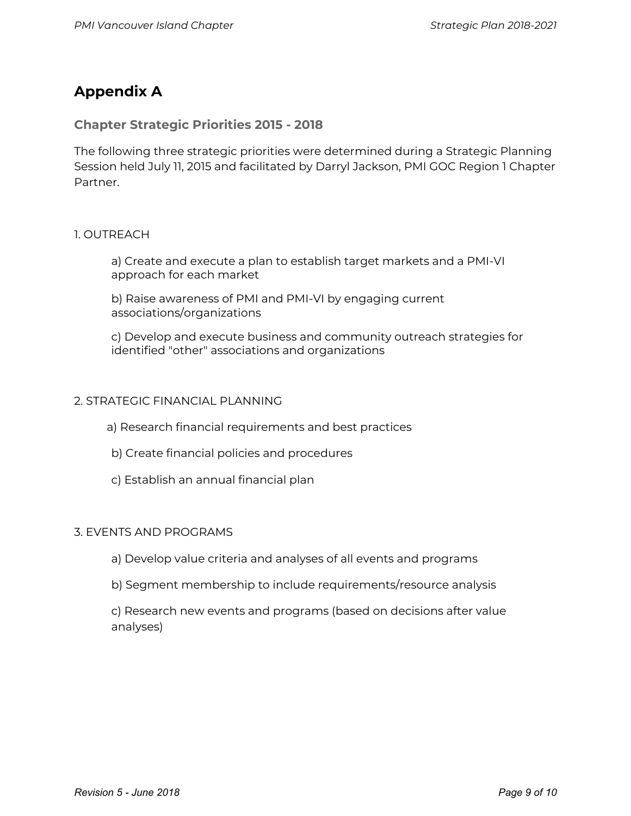#### **Appendix A**

#### **Chapter Strategic Priorities 2015 - 2018**

The following three strategic priorities were determined during a Strategic Planning Session held July 11, 2015 and facilitated by Darryl Jackson, PMI GOC Region 1 Chapter Partner.

#### 1. OUTREACH

a) Create and execute a plan to establish target markets and a PMI-VI approach for each market

b) Raise awareness of PMI and PMI-VI by engaging current associations/organizations

c) Develop and execute business and community outreach strategies for identified "other" associations and organizations

#### 2. STRATEGIC FINANCIAL PLANNING

- a) Research financial requirements and best practices
- b) Create financial policies and procedures
- c) Establish an annual financial plan

#### 3. EVENTS AND PROGRAMS

- a) Develop value criteria and analyses of all events and programs
- b) Segment membership to include requirements/resource analysis

c) Research new events and programs (based on decisions after value analyses)